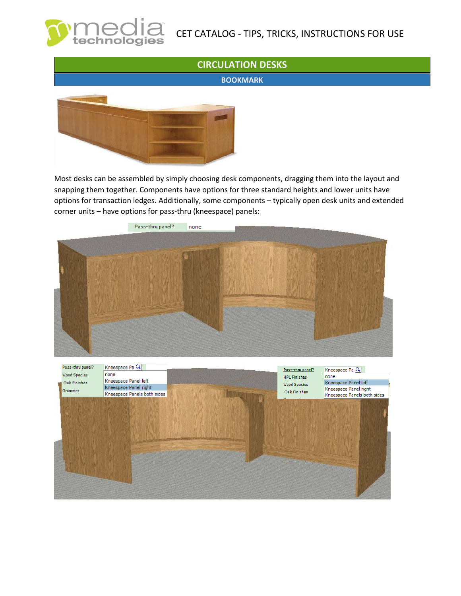

# CET CATALOG - TIPS, TRICKS, INSTRUCTIONS FOR USE

### **CIRCULATION DESKS**

**BOOKMARK**



Most desks can be assembled by simply choosing desk components, dragging them into the layout and snapping them together. Components have options for three standard heights and lower units have options for transaction ledges. Additionally, some components – typically open desk units and extended corner units – have options for pass-thru (kneespace) panels:

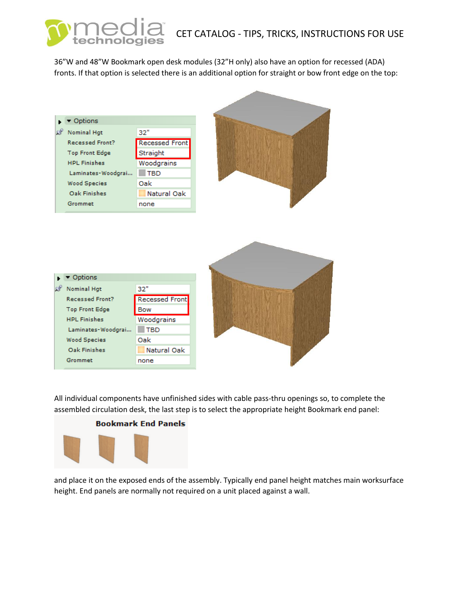# CET CATALOG - TIPS, TRICKS, INSTRUCTIONS FOR USE

36"W and 48"W Bookmark open desk modules (32"H only) also have an option for recessed (ADA) fronts. If that option is selected there is an additional option for straight or bow front edge on the top:



All individual components have unfinished sides with cable pass-thru openings so, to complete the assembled circulation desk, the last step is to select the appropriate height Bookmark end panel:



and place it on the exposed ends of the assembly. Typically end panel height matches main worksurface height. End panels are normally not required on a unit placed against a wall.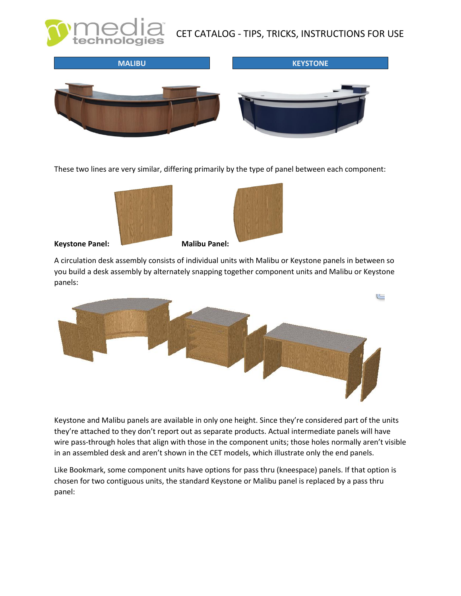CET CATALOG - TIPS, TRICKS, INSTRUCTIONS FOR USE



These two lines are very similar, differing primarily by the type of panel between each component:





#### **Keystone Panel: Malibu Panel:**

## A circulation desk assembly consists of individual units with Malibu or Keystone panels in between so you build a desk assembly by alternately snapping together component units and Malibu or Keystone



Keystone and Malibu panels are available in only one height. Since they're considered part of the units they're attached to they don't report out as separate products. Actual intermediate panels will have wire pass-through holes that align with those in the component units; those holes normally aren't visible in an assembled desk and aren't shown in the CET models, which illustrate only the end panels.

Like Bookmark, some component units have options for pass thru (kneespace) panels. If that option is chosen for two contiguous units, the standard Keystone or Malibu panel is replaced by a pass thru panel: